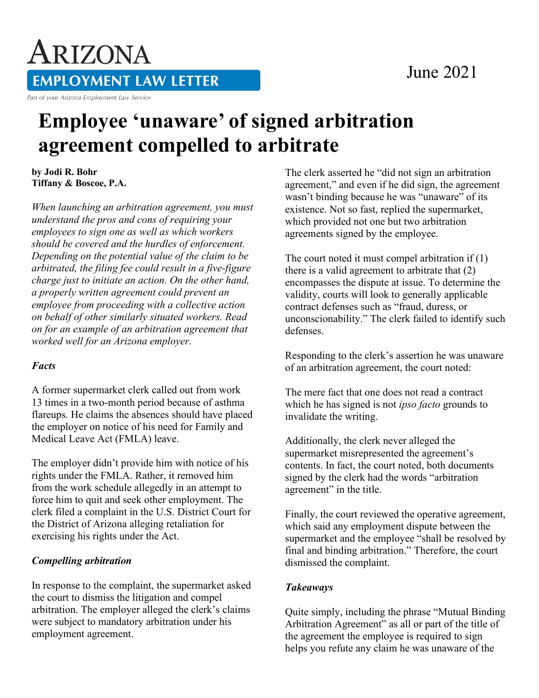### June 2021

# ARIZONA **EMPLOYMENT LAW LETTER**

Part of your Arizona Employment Law Service

## **Employee 'unaware' of signed arbitration agreement compelled to arbitrate**

**by Jodi R. Bohr Tiffany & Boscoe, P.A.**

*When launching an arbitration agreement, you must understand the pros and cons of requiring your employees to sign one as well as which workers should be covered and the hurdles of enforcement. Depending on the potential value of the claim to be arbitrated, the filing fee could result in a five-figure charge just to initiate an action. On the other hand, a properly written agreement could prevent an employee from proceeding with a collective action on behalf of other similarly situated workers. Read on for an example of an arbitration agreement that worked well for an Arizona employer.*

#### *Facts*

A former supermarket clerk called out from work 13 times in a two-month period because of asthma flareups. He claims the absences should have placed the employer on notice of his need for Family and Medical Leave Act (FMLA) leave.

The employer didn't provide him with notice of his rights under the FMLA. Rather, it removed him from the work schedule allegedly in an attempt to force him to quit and seek other employment. The clerk filed a complaint in the U.S. District Court for the District of Arizona alleging retaliation for exercising his rights under the Act.

#### *Compelling arbitration*

In response to the complaint, the supermarket asked the court to dismiss the litigation and compel arbitration. The employer alleged the clerk's claims were subject to mandatory arbitration under his employment agreement.

The clerk asserted he "did not sign an arbitration agreement," and even if he did sign, the agreement wasn't binding because he was "unaware" of its existence. Not so fast, replied the supermarket, which provided not one but two arbitration agreements signed by the employee.

The court noted it must compel arbitration if (1) there is a valid agreement to arbitrate that (2) encompasses the dispute at issue. To determine the validity, courts will look to generally applicable contract defenses such as "fraud, duress, or unconscionability." The clerk failed to identify such defenses.

Responding to the clerk's assertion he was unaware of an arbitration agreement, the court noted:

The mere fact that one does not read a contract which he has signed is not *ipso facto* grounds to invalidate the writing.

Additionally, the clerk never alleged the supermarket misrepresented the agreement's contents. In fact, the court noted, both documents signed by the clerk had the words "arbitration agreement" in the title.

Finally, the court reviewed the operative agreement, which said any employment dispute between the supermarket and the employee "shall be resolved by final and binding arbitration." Therefore, the court dismissed the complaint.

#### *Takeaways*

Quite simply, including the phrase "Mutual Binding Arbitration Agreement" as all or part of the title of the agreement the employee is required to sign helps you refute any claim he was unaware of the